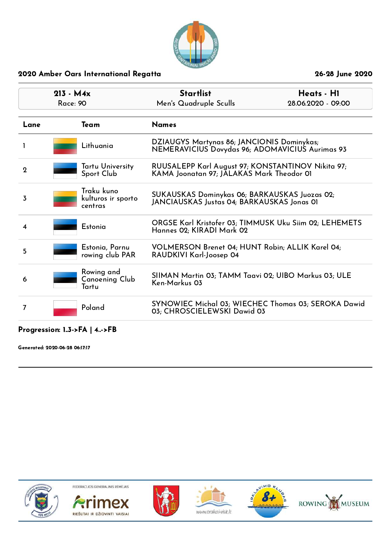

| $213 - M4x$<br>Race: 90 |                                             | <b>Startlist</b><br>Heats - HI<br>Men's Quadruple Sculls<br>28.06.2020 - 09:00                 |  |
|-------------------------|---------------------------------------------|------------------------------------------------------------------------------------------------|--|
| Lane                    | Team                                        | <b>Names</b>                                                                                   |  |
|                         | Lithuania                                   | DZIAUGYS Martynas 86; JANCIONIS Dominykas;<br>NEMERAVICIUS Dovydas 96; ADOMAVICIUS Aurimas 93  |  |
| $\mathbf{2}$            | Tartu University<br>Sport Club              | RUUSALEPP Karl August 97; KONSTANTINOV Nikita 97;<br>KAMA Joonatan 97; JALAKAS Mark Theodor 01 |  |
| 3                       | Traku kuno<br>kulturos ir sporto<br>centras | SUKAUSKAS Dominykas 06; BARKAUSKAS Juozas 02;<br>JANCIAUSKAS Justas 04; BARKAUSKAS Jonas 01    |  |
| 4                       | Estonia                                     | ORGSE Karl Kristofer 03; TIMMUSK Uku Siim 02; LEHEMETS<br>Hannes 02; KIRADI Mark 02            |  |
| 5                       | Estonia, Parnu<br>rowing club PAR           | VOLMERSON Brenet 04; HUNT Robin; ALLIK Karel 04;<br>RAUDKIVI Karl-Joosep 04                    |  |
| 6                       | Rowing and<br>Canoening Club<br>Tartu       | SIIMAN Martin 03; TAMM Taavi 02; UIBO Markus 03; ULE<br>Ken-Markus 03                          |  |
| 7                       | Poland                                      | SYNOWIEC Michal 03; WIECHEC Thomas 03; SEROKA Dawid<br>03; CHROSCIELEWSKI Dawid 03             |  |

## Progression: 1..3->FA | 4..->FB

Generated: 2020-06-28 06:17:17

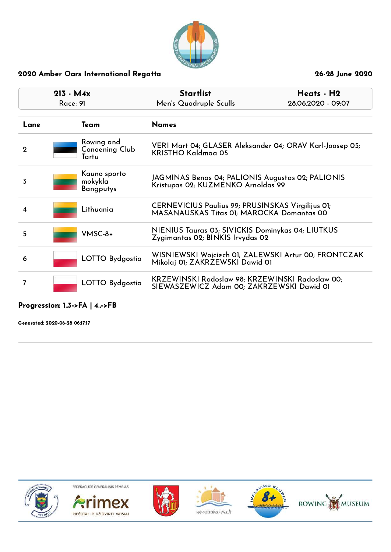

| $213 - M4x$<br>Race: 91 |                                             | <b>Startlist</b><br>Men's Quadruple Sculls                                                   | Heats - H2<br>28.06.2020 - 09:07                                                               |  |  |
|-------------------------|---------------------------------------------|----------------------------------------------------------------------------------------------|------------------------------------------------------------------------------------------------|--|--|
| Lane                    | Team                                        | <b>Names</b>                                                                                 |                                                                                                |  |  |
| $\mathbf 2$             | Rowing and<br>Canoening Club<br>Tartu       | KRISTHO Kaldmaa 05                                                                           | VERI Mart 04; GLASER Aleksander 04; ORAV Karl-Joosep 05;                                       |  |  |
| 3                       | Kauno sporto<br>mokykla<br><b>Bangputys</b> |                                                                                              | JAGMINAS Benas 04; PALIONIS Augustas 02; PALIONIS<br>Kristupas 02; KUZMENKO Arnoldas 99        |  |  |
| 4                       | Lithuania                                   |                                                                                              | CERNEVICIUS Paulius 99; PRUSINSKAS Virgilijus 01;<br>MASANAUSKAS Titas 01; MAROCKA Domantas 00 |  |  |
| 5                       | $V$ MSC-8+                                  |                                                                                              | NIENIUS Tauras 03; SIVICKIS Dominykas 04; LIUTKUS<br>Zygimantas 02; BINKIS Irvydas 02          |  |  |
| 6                       | LOTTO Bydgostia                             |                                                                                              | WISNIEWSKI Wojciech OI; ZALEWSKI Artur 00; FRONTCZAK<br>Mikolaj 01; ZAKRZEWSKI Dawid 01        |  |  |
| 7                       | LOTTO Bydgostia                             | KRZEWINSKI Radoslaw 98; KRZEWINSKI Radoslaw 00;<br>SIEWASZEWICZ Adam 00; ZAKRZEWSKI Dawid 01 |                                                                                                |  |  |

## Progression: 1..3->FA | 4..->FB

Generated: 2020-06-28 06:17:17













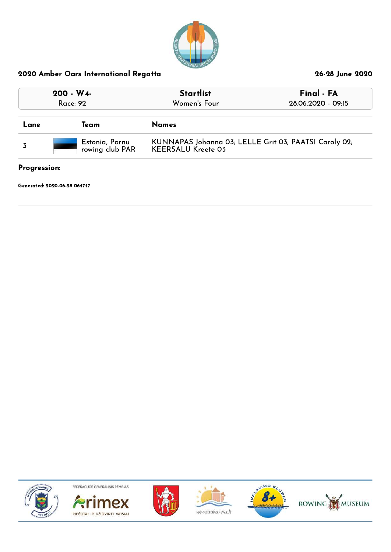

| $200 - W4$<br>Race: 92 |                                   | <b>Startlist</b><br>Women's Four                                                   | Final - FA<br>28.06.2020 - 09:15 |  |
|------------------------|-----------------------------------|------------------------------------------------------------------------------------|----------------------------------|--|
| Lane                   | Team                              | <b>Names</b>                                                                       |                                  |  |
|                        | Estonia, Parnu<br>rowing club PAR | KUNNAPAS Johanna 03; LELLE Grit 03; PAATSI Caroly 02;<br><b>KEERSALU Kreete 03</b> |                                  |  |

## Progression:

Generated: 2020-06-28 06:17:17











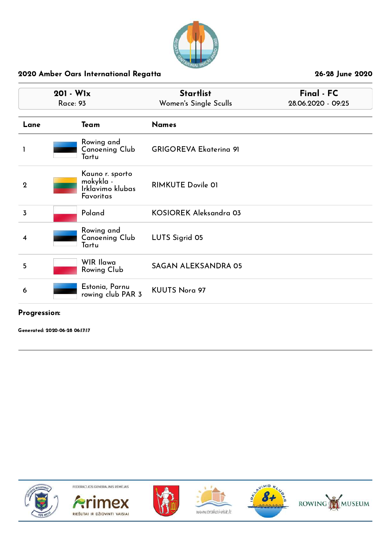

|                  | 201 - W1x<br><b>Race: 93</b>                                  | <b>Startlist</b><br>Women's Single Sculls | Final - FC<br>28.06.2020 - 09:25 |
|------------------|---------------------------------------------------------------|-------------------------------------------|----------------------------------|
| Lane             | Team                                                          | <b>Names</b>                              |                                  |
|                  | Rowing and<br><b>Canoening Club</b><br>Tartu                  | <b>GRIGOREVA Ekaterina 91</b>             |                                  |
| $\boldsymbol{2}$ | Kauno r. sporto<br>mokykla -<br>Irklavimo klubas<br>Favoritas | <b>RIMKUTE Dovile 01</b>                  |                                  |
| 3                | Poland                                                        | KOSIOREK Aleksandra 03                    |                                  |
| 4                | Rowing and<br><b>Canoening Club</b><br>Tartu                  | LUTS Sigrid 05                            |                                  |
| 5                | <b>WIR Ilawa</b><br>Rowing Club                               | <b>SAGAN ALEKSANDRA 05</b>                |                                  |
| 6                | Estonia, Parnu<br>rowing club PAR 3                           | <b>KUUTS Nora 97</b>                      |                                  |

## Progression:

Generated: 2020-06-28 06:17:17











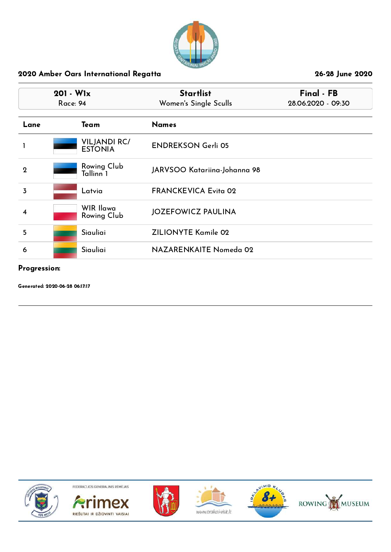

| $201 - W1x$<br>Race: 94 |                                       | <b>Startlist</b><br>Women's Single Sculls | Final - FB<br>28.06.2020 - 09:30 |  |
|-------------------------|---------------------------------------|-------------------------------------------|----------------------------------|--|
| Lane                    | Team                                  | <b>Names</b>                              |                                  |  |
|                         | <b>VILJANDI RC/</b><br><b>ESTONIA</b> | <b>ENDREKSON Gerli 05</b>                 |                                  |  |
| $\overline{2}$          | Rowing Club<br>Tallinn 1              | JARVSOO Katariina-Johanna 98              |                                  |  |
| 3                       | Latvia                                | <b>FRANCKEVICA Evita 02</b>               |                                  |  |
| 4                       | WIR Ilawa<br>Rowing Club              | <b>JOZEFOWICZ PAULINA</b>                 |                                  |  |
| 5                       | Siauliai                              | <b>ZILIONYTE Kamile 02</b>                |                                  |  |
| 6                       | Siauliai                              | NAZARENKAITE Nomeda 02                    |                                  |  |

### Progression:

Generated: 2020-06-28 06:17:17











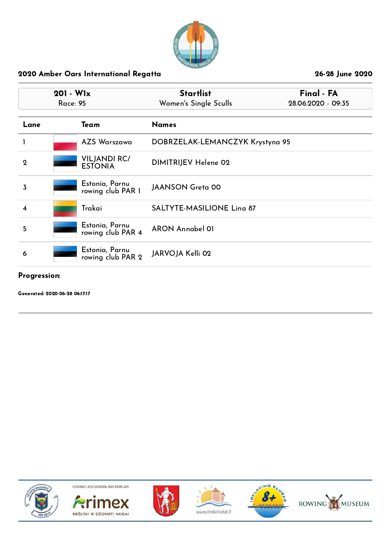

| $201 - W1x$<br><b>Race: 95</b> |  |                                       | <b>Startlist</b><br>Women's Single Sculls | Final - FA<br>28.06.2020 - 09:35 |  |
|--------------------------------|--|---------------------------------------|-------------------------------------------|----------------------------------|--|
| Lane                           |  | Team                                  | <b>Names</b>                              |                                  |  |
|                                |  | AZS Warszawa                          | DOBRZELAK-LEMANCZYK Krystyna 95           |                                  |  |
| $\mathbf 2$                    |  | <b>VILJANDI RC/</b><br><b>ESTONIA</b> | DIMITRIJEV Helene 02                      |                                  |  |
| 3                              |  | Estonia, Parnu<br>rowing club PAR 1   | <b>JAANSON Greta 00</b>                   |                                  |  |
| 4                              |  | Trakai                                | <b>SALTYTE-MASILIONE Ling 87</b>          |                                  |  |
| 5                              |  | Estonia, Parnu<br>rowing club PAR 4   | <b>ARON Annabel 01</b>                    |                                  |  |
| 6                              |  | Estonia, Parnu<br>rowing club PAR 2   | JARVOJA Kelli 02                          |                                  |  |

#### Progression:

Generated: 2020-06-28 06:17:17











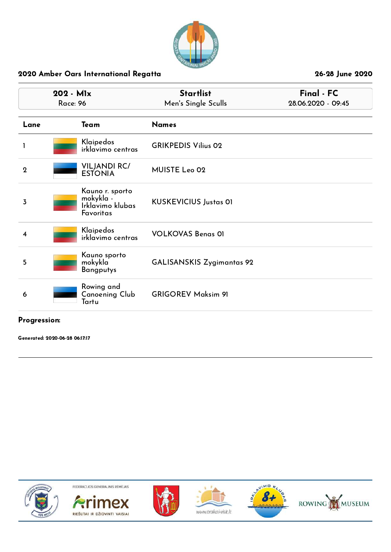

|             | 202 - Mlx<br><b>Race: 96</b>                                  | <b>Startlist</b><br>Men's Single Sculls | Final - FC<br>28.06.2020 - 09:45 |
|-------------|---------------------------------------------------------------|-----------------------------------------|----------------------------------|
| Lane        | Team                                                          | <b>Names</b>                            |                                  |
|             | Klaipedos<br>irklavimo centras                                | <b>GRIKPEDIS Vilius 02</b>              |                                  |
| $\mathbf 2$ | <b>VILJANDI RC/</b><br><b>ESTONIA</b>                         | MUISTE Leo 02                           |                                  |
| 3           | Kauno r. sporto<br>mokykla -<br>Irklavimo klubas<br>Favoritas | <b>KUSKEVICIUS Justas OI</b>            |                                  |
| 4           | Klaipedos<br>irklavimo centras                                | <b>VOLKOVAS Benas 01</b>                |                                  |
| 5           | Kauno sporto<br>mokykla<br><b>Bangputys</b>                   | <b>GALISANSKIS Zygimantas 92</b>        |                                  |
| 6           | Rowing and<br>Canoening Club<br>Tartu                         | <b>GRIGOREV Maksim 91</b>               |                                  |

## Progression:

Generated: 2020-06-28 06:17:17











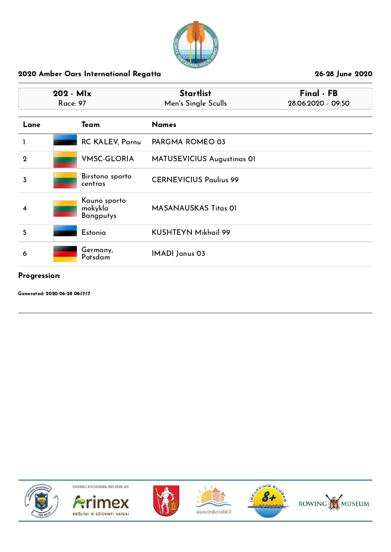

|                | 202 - Mlx<br><b>Race: 97</b>                | <b>Startlist</b><br>Men's Single Sculls | Final - FB<br>28.06.2020 - 09:50 |
|----------------|---------------------------------------------|-----------------------------------------|----------------------------------|
| Lane           | Team                                        | <b>Names</b>                            |                                  |
|                | <b>RC KALEV, Parnu</b>                      | PARGMA ROMEO 03                         |                                  |
| $\mathbf{2}$   | <b>VMSC-GLORIA</b>                          | MATUSEVICIUS Augustinas 01              |                                  |
| $\overline{3}$ | Birstono sporto<br>centras                  | <b>CERNEVICIUS Paulius 99</b>           |                                  |
| 4              | Kauno sporto<br>mokykla<br><b>Bangputys</b> | <b>MASANAUSKAS Titas OI</b>             |                                  |
| 5              | Estonia                                     | <b>KUSHTEYN Mikhail 99</b>              |                                  |
| 6              | Germany,<br>Potsdam                         | <b>IMADI Janus 03</b>                   |                                  |
| Progression:   |                                             |                                         |                                  |

Generated: 2020-06-28 06:17:17











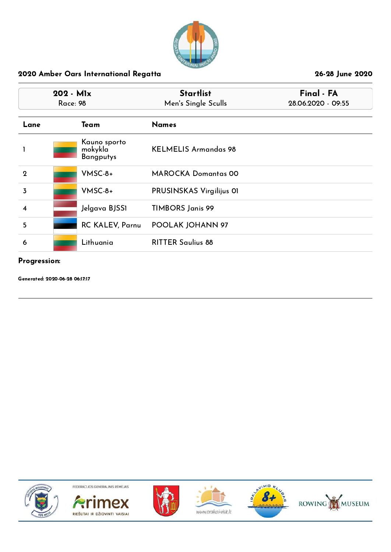

| $202 - M1x$<br><b>Race: 98</b> |  |                                             | <b>Startlist</b><br>Men's Single Sculls | Final - FA<br>28.06.2020 - 09:55 |  |
|--------------------------------|--|---------------------------------------------|-----------------------------------------|----------------------------------|--|
| Lane                           |  | Team                                        | <b>Names</b>                            |                                  |  |
|                                |  | Kauno sporto<br>mokykla<br><b>Bangputys</b> | <b>KELMELIS Armandas 98</b>             |                                  |  |
| $\overline{2}$                 |  | $V$ MSC-8+                                  | <b>MAROCKA Domantas 00</b>              |                                  |  |
| 3                              |  | $V$ MSC-8+                                  | PRUSINSKAS Virgilijus OI                |                                  |  |
| $\overline{\mathbf{4}}$        |  | Jelgava BJSS1                               | <b>TIMBORS Janis 99</b>                 |                                  |  |
| 5                              |  | <b>RC KALEV, Parnu</b>                      | POOLAK JOHANN 97                        |                                  |  |
| 6                              |  | Lithuania                                   | <b>RITTER Saulius 88</b>                |                                  |  |

## Progression:

Generated: 2020-06-28 06:17:17











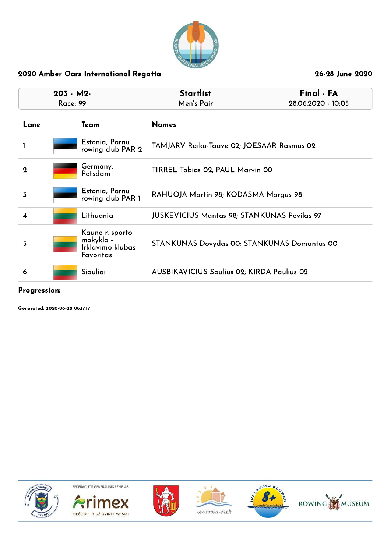

| $203 - M2$<br><b>Race: 99</b> |  |                                                               | Final - FA<br><b>Startlist</b><br>Men's Pair<br>28.06.2020 - 10:05 |  |
|-------------------------------|--|---------------------------------------------------------------|--------------------------------------------------------------------|--|
| Lane                          |  | Team                                                          | <b>Names</b>                                                       |  |
| 1                             |  | Estonia, Parnu<br>rowing club PAR 2                           | TAMJARV Raiko-Taave 02; JOESAAR Rasmus 02                          |  |
| $\mathbf 2$                   |  | Germany,<br>Potsdam                                           | TIRREL Tobias 02; PAUL Marvin 00                                   |  |
| 3                             |  | Estonia, Parnu<br>rowing club PAR 1                           | RAHUOJA Martin 98; KODASMA Margus 98                               |  |
| 4                             |  | Lithuania                                                     | <b>JUSKEVICIUS Mantas 98; STANKUNAS Povilas 97</b>                 |  |
| 5                             |  | Kauno r. sporto<br>mokykla -<br>Irklavimo klubas<br>Favoritas | STANKUNAS Dovydas 00; STANKUNAS Domantas 00                        |  |
| 6                             |  | Siauliai                                                      | <b>AUSBIKAVICIUS Saulius 02; KIRDA Paulius 02</b>                  |  |

## Progression:

Generated: 2020-06-28 06:17:17











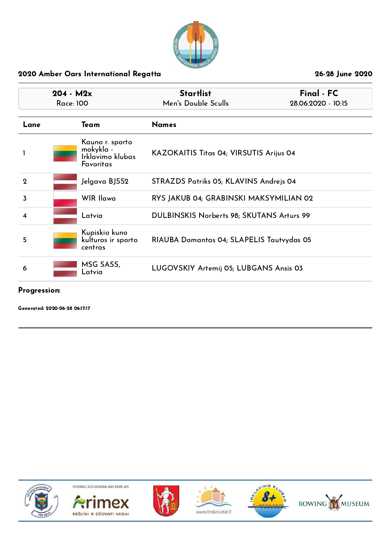

| $204 - M2x$<br><b>Race: 100</b> |                                                               | <b>Startlist</b><br>Final - FC<br>Men's Double Sculls<br>28.06.2020 - 10:15 |  |
|---------------------------------|---------------------------------------------------------------|-----------------------------------------------------------------------------|--|
| Lane                            | Team                                                          | <b>Names</b>                                                                |  |
| 1                               | Kauno r. sporto<br>mokykla -<br>Irklavimo klubas<br>Favoritas | KAZOKAITIS Titas 04; VIRSUTIS Arijus 04                                     |  |
| $\mathbf 2$                     | Jelgava BJSS2                                                 | STRAZDS Patriks 05; KLAVINS Andrejs 04                                      |  |
| 3                               | <b>WIR Ilawa</b>                                              | RYS JAKUB 04; GRABINSKI MAKSYMILIAN 02                                      |  |
| 4                               | Latvia                                                        | DULBINSKIS Norberts 98; SKUTANS Arturs 99                                   |  |
| 5                               | Kupiskio kuno<br>kulturos ir sporto<br>centras                | RIAUBA Domantas 04; SLAPELIS Tautyydas 05                                   |  |
| 6                               | MSG SASS,<br>Latvia                                           | LUGOVSKIY Artemij 05; LUBGANS Ansis 03                                      |  |

#### Progression:

Generated: 2020-06-28 06:17:17











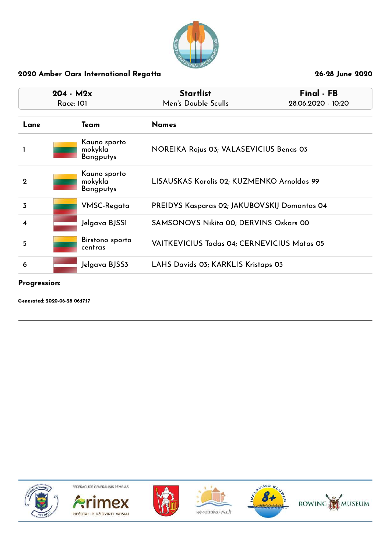

| $204 - M2x$<br><b>Race: 101</b> |  |                                             | <b>Startlist</b><br>Men's Double Sculls             | Final - FB<br>28.06.2020 - 10:20 |
|---------------------------------|--|---------------------------------------------|-----------------------------------------------------|----------------------------------|
| Lane                            |  | Team                                        | <b>Names</b>                                        |                                  |
|                                 |  | Kauno sporto<br>mokykla<br><b>Bangputys</b> | NOREIKA Rojus 03; VALASEVICIUS Benas 03             |                                  |
| $\overline{2}$                  |  | Kauno sporto<br>mokykla<br><b>Bangputys</b> | LISAUSKAS Karolis 02; KUZMENKO Arnoldas 99          |                                  |
| 3                               |  | VMSC-Regata                                 | <b>PREIDYS Kasparas 02; JAKUBOVSKIJ Domantas 04</b> |                                  |
| 4                               |  | Jelgava BJSS1                               | <b>SAMSONOVS Nikita 00; DERVINS Oskars 00</b>       |                                  |
| 5                               |  | Birstono sporto<br>centras                  | <b>VAITKEVICIUS Tadas 04; CERNEVICIUS Matas 05</b>  |                                  |
| 6                               |  | Jelgava BJSS3.                              | LAHS Davids 03; KARKLIS Kristaps 03                 |                                  |

Progression:

Generated: 2020-06-28 06:17:17











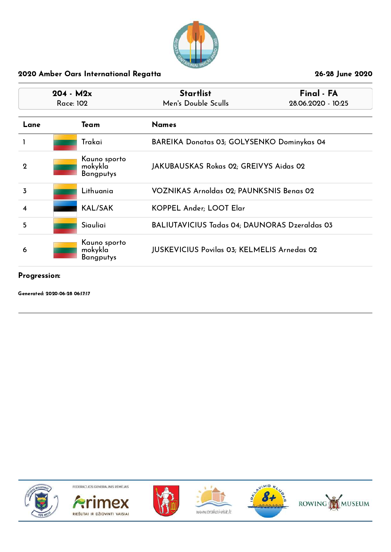

|             | $204 - M2x$<br>Race: 102 |                                             | <b>Startlist</b><br>Men's Double Sculls              | Final - FA<br>28.06.2020 - 10:25 |
|-------------|--------------------------|---------------------------------------------|------------------------------------------------------|----------------------------------|
| Lane        |                          | Team                                        | <b>Names</b>                                         |                                  |
|             |                          | Trakai                                      | BAREIKA Donatas 03; GOLYSENKO Dominykas 04           |                                  |
| $\mathbf 2$ |                          | Kauno sporto<br>mokykla<br><b>Bangputys</b> | JAKUBAUSKAS Rokas 02; GREIVYS Aidas 02               |                                  |
| 3           |                          | Lithuania                                   | VOZNIKAS Arnoldas 02; PAUNKSNIS Benas 02             |                                  |
| 4           |                          | <b>KAL/SAK</b>                              | <b>KOPPEL Ander; LOOT Elar</b>                       |                                  |
| 5           |                          | Siauliai                                    | <b>BALIUTAVICIUS Tadas 04; DAUNORAS Dzeraldas 03</b> |                                  |
| 6           |                          | Kauno sporto<br>mokykla<br>Bangputys        | <b>JUSKEVICIUS Povilas 03; KELMELIS Arnedas 02</b>   |                                  |

#### Progression:

Generated: 2020-06-28 06:17:17











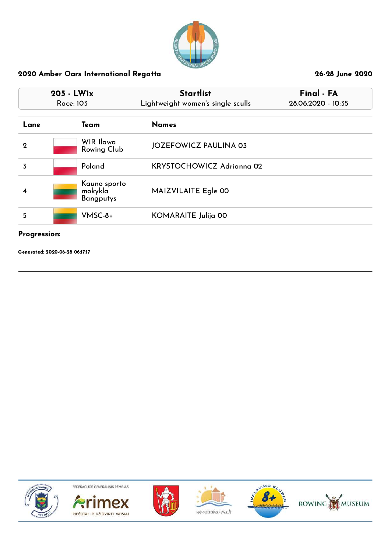

|              | 205 - LW1x<br>Race: 103                     | <b>Startlist</b><br>Lightweight women's single sculls | Final - FA<br>28.06.2020 - 10:35 |  |
|--------------|---------------------------------------------|-------------------------------------------------------|----------------------------------|--|
| Lane         | Team                                        | <b>Names</b>                                          |                                  |  |
| $\mathbf 2$  | WIR Ilawa<br>Rowing Club                    | <b>JOZEFOWICZ PAULINA 03</b>                          |                                  |  |
| 3            | Poland                                      | <b>KRYSTOCHOWICZ Adrignna 02</b>                      |                                  |  |
| 4            | Kauno sporto<br>mokykla<br><b>Bangputys</b> | MAIZVILAITE Egle 00                                   |                                  |  |
| 5            | $VMSC-8+$                                   | KOMARAITE Julija 00                                   |                                  |  |
| Progression: |                                             |                                                       |                                  |  |

Generated: 2020-06-28 06:17:17











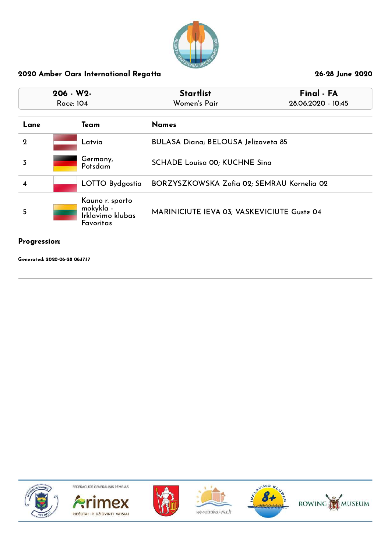

| $206 - W2$<br>Race: 104 |  |                                                               | <b>Startlist</b><br>Women's Pair           | Final - FA<br>28.06.2020 - 10:45 |
|-------------------------|--|---------------------------------------------------------------|--------------------------------------------|----------------------------------|
| Lane                    |  | Team                                                          | <b>Names</b>                               |                                  |
| $\overline{2}$          |  | Latvia                                                        | BULASA Diana; BELOUSA Jelizaveta 85        |                                  |
| 3                       |  | Germany,<br>Potsdam                                           | <b>SCHADE Louisa 00; KUCHNE Sing</b>       |                                  |
| 4                       |  | LOTTO Bydgostia                                               | BORZYSZKOWSKA Zofia 02; SEMRAU Kornelia 02 |                                  |
| 5                       |  | Kauno r. sporto<br>mokykla -<br>Irklavimo klubas<br>Favoritas | MARINICIUTE IEVA 03; VASKEVICIUTE Guste 04 |                                  |

# Progression:

Generated: 2020-06-28 06:17:17











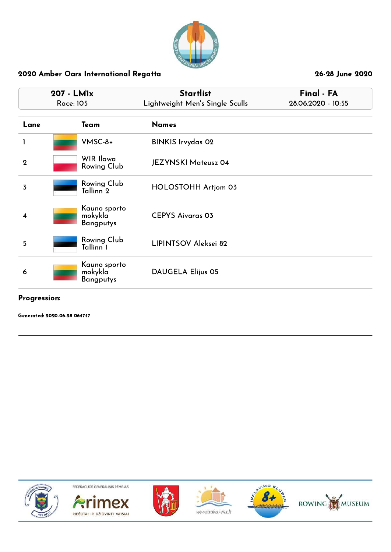

|              | 207 - LMIx<br><b>Race: 105</b>              | <b>Startlist</b><br>Lightweight Men's Single Sculls | Final - FA<br>28.06.2020 - 10:55 |  |
|--------------|---------------------------------------------|-----------------------------------------------------|----------------------------------|--|
| Lane         | Team                                        | <b>Names</b>                                        |                                  |  |
|              | $V$ MSC-8+                                  | <b>BINKIS Irvydas 02</b>                            |                                  |  |
| $\mathbf{2}$ | WIR Ilawa<br>Rowing Club                    | <b>JEZYNSKI Mateusz 04</b>                          |                                  |  |
| 3            | Rowing Club<br>Tallinn <sup>2</sup>         | HOLOSTOHH Artjom 03                                 |                                  |  |
| 4            | Kauno sporto<br>mokykla<br><b>Bangputys</b> | <b>CEPYS Aivaras 03</b>                             |                                  |  |
| 5            | Rowing Club<br>Tallinn <sup>1</sup>         | LIPINTSOV Aleksei 82                                |                                  |  |
| 6            | Kauno sporto<br>mokykla<br>Bangputys        | <b>DAUGELA Elijus 05</b>                            |                                  |  |

#### Progression:

Generated: 2020-06-28 06:17:17











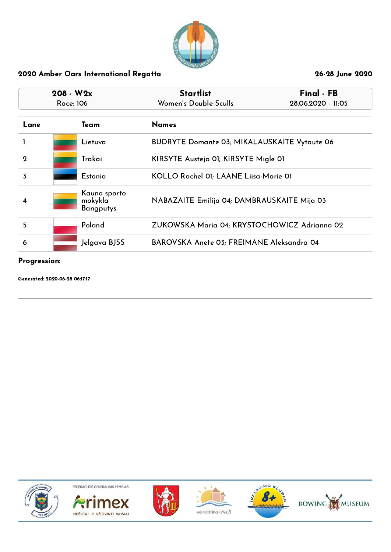

|      | $208 - W2x$<br>Race: 106 |                                             | <b>Startlist</b><br>Women's Double Sculls           | Final - FB<br>28.06.2020 - 11:05 |
|------|--------------------------|---------------------------------------------|-----------------------------------------------------|----------------------------------|
| Lane | <b>Names</b><br>Team     |                                             |                                                     |                                  |
|      |                          | Lietuva                                     | <b>BUDRYTE Domante 03; MIKALAUSKAITE Vytaute 06</b> |                                  |
| 2    |                          | Trakai                                      | KIRSYTE Austeja 01; KIRSYTE Migle 01                |                                  |
| 3    |                          | Estonia                                     | KOLLO Rachel 01; LAANE Liisa-Marie 01               |                                  |
| 4    |                          | Kauno sporto<br>mokykla<br><b>Bangputys</b> | NABAZAITE Emilija 04; DAMBRAUSKAITE Mija 03         |                                  |
| 5    |                          | Poland                                      | ZUKOWSKA Maria 04; KRYSTOCHOWICZ Adrianna 02        |                                  |
| 6    |                          | Jelgava BJSS                                | BAROVSKA Anete 03; FREIMANE Aleksandra 04           |                                  |

#### Progression:

Generated: 2020-06-28 06:17:17











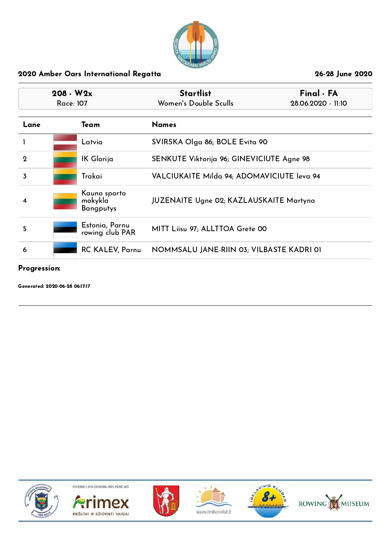

| $208 - W2x$<br>Race: 107 |  |                                             | <b>Startlist</b><br>Women's Double Sculls      | Final - FA<br>28.06.2020 - 11:10 |
|--------------------------|--|---------------------------------------------|------------------------------------------------|----------------------------------|
| Lane                     |  | Team                                        | <b>Names</b>                                   |                                  |
|                          |  | Latvia                                      | SVIRSKA Olga 86; BOLE Evita 90                 |                                  |
| $\mathbf 2$              |  | IK Glorija                                  | SENKUTE Viktorija 96; GINEVICIUTE Agne 98      |                                  |
| 3                        |  | Trakai                                      | VALCIUKAITE Milda 94; ADOMAVICIUTE leva 94     |                                  |
| 4                        |  | Kauno sporto<br>mokykla<br><b>Bangputys</b> | <b>JUZENAITE Ugne 02; KAZLAUSKAITE Martyna</b> |                                  |
| 5                        |  | Estonia, Parnu<br>rowing club PAR           | MITT Liisu 97; ALLTTOA Grete 00                |                                  |
| 6                        |  | <b>RC KALEV, Parnu</b>                      | NOMMSALU JANE-RIIN 03; VILBASTE KADRI 01       |                                  |

## Progression:

Generated: 2020-06-28 06:17:17











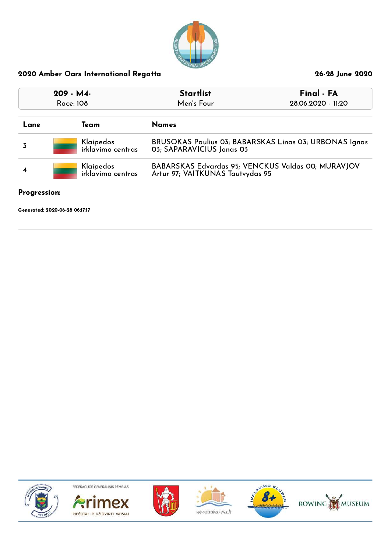

| 209 - M4-<br>Race: 108 |  |                                | <b>Startlist</b><br>Men's Four                                                         | Final - FA<br>28.06.2020 - 11:20 |  |
|------------------------|--|--------------------------------|----------------------------------------------------------------------------------------|----------------------------------|--|
| Lane                   |  | Team                           | <b>Names</b>                                                                           |                                  |  |
|                        |  | Klaipedos<br>irklavimo centras | BRUSOKAS Paulius 03; BABARSKAS Linas 03; URBONAS Ignas<br>03; SAPARAVICIUS Jonas 03    |                                  |  |
| 4                      |  | Klaipedos<br>irklavimo centras | BABARSKAS Edvardas 95; VENCKUS Valdas 00; MURAVJOV<br>Artur 97; VAITKUNAS Tautvydas 95 |                                  |  |

## Progression:

Generated: 2020-06-28 06:17:17











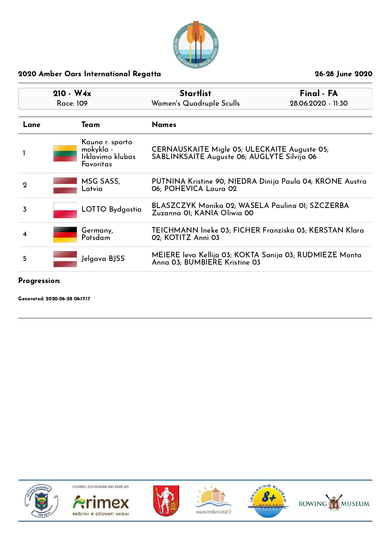

|             | $210 - W4x$<br>Race: 109                                      | Final - FA<br><b>Startlist</b><br>Women's Quadruple Sculls<br>28.06.2020 - 11:30            |  |
|-------------|---------------------------------------------------------------|---------------------------------------------------------------------------------------------|--|
| Lane        | Team                                                          | <b>Names</b>                                                                                |  |
|             | Kauno r. sporto<br>mokykla -<br>Irklavimo klubas<br>Favoritas | CERNAUSKAITE Migle 05; ULECKAITE Auguste 05;<br>SABLINKSAITE Auguste 06; AUGLYTE Silvija 06 |  |
| $\mathbf 2$ | MSG SASS,<br>Latvia                                           | PUTNINA Kristine 90; NIEDRA Dinija Paula 04; KRONE Austra<br>06; POHEVICA Laura 02          |  |
| 3           | LOTTO Bydgostia                                               | BLASZCZYK Monika 02; WASELA Paulina 01; SZCZERBA<br>Zuzanna 01; KANIA Oliwia 00             |  |
| 4           | Germany,<br>Potsdam                                           | TEICHMANN Ineke 03; FICHER Franziska 03; KERSTAN Klara<br>02; KOTITZ Anni 03                |  |
| 5           | Jelgava BJSS                                                  | MEIERE Ieva Kellija 03; KOKTA Sanija 03; RUDMIEZE Monta<br>Anna 03; BUMBIERE Kristine 03    |  |

Progression:

Generated: 2020-06-28 06:17:17











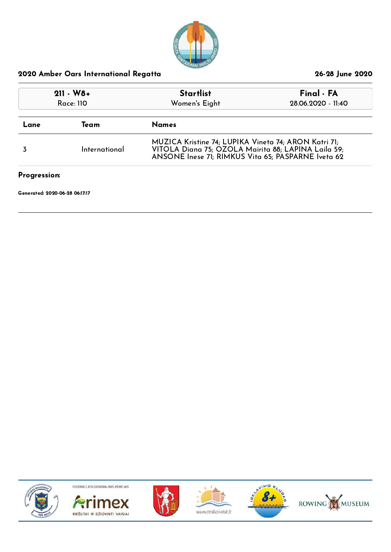

| $211 - W8 +$<br>Race: 110      |               | <b>Startlist</b><br>Women's Eight                                                                                                                                 | Final - FA<br>28.06.2020 - 11:40 |
|--------------------------------|---------------|-------------------------------------------------------------------------------------------------------------------------------------------------------------------|----------------------------------|
| Lane                           | Team          | <b>Names</b>                                                                                                                                                      |                                  |
|                                | International | MUZICA Kristine 74; LUPIKA Vineta 74; ARON Katri 71;<br>VITOLA Diana 75; OZOLA Mairita 88; LAPINA Laila 59;<br>ANSONE Inese 71; RIMKUS Vita 65; PASPARNE Iveta 62 |                                  |
| Progression:                   |               |                                                                                                                                                                   |                                  |
| Generated: 2020-06-28 06:17:17 |               |                                                                                                                                                                   |                                  |











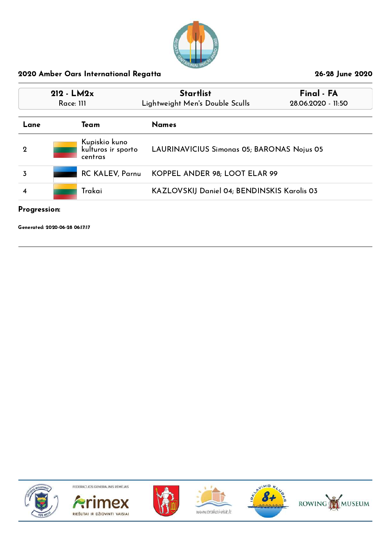

|             | $212 - LM2x$<br>$R$ ace: 111 |                                                | <b>Startlist</b><br>Lightweight Men's Double Sculls | Final - FA<br>28.06.2020 - 11:50 |  |
|-------------|------------------------------|------------------------------------------------|-----------------------------------------------------|----------------------------------|--|
| Lane        |                              | Team                                           | <b>Names</b>                                        |                                  |  |
| $\mathbf 2$ |                              | Kupiskio kuno<br>kulturos ir sporto<br>centras | LAURINAVICIUS Simonas 05; BARONAS Nojus 05          |                                  |  |
|             |                              | <b>RC KALEV, Parnu</b>                         | KOPPEL ANDER 98; LOOT ELAR 99                       |                                  |  |
| 4           |                              | Trakai                                         | KAZLOVSKIJ Daniel 04; BENDINSKIS Karolis 03         |                                  |  |

#### Progression:

Generated: 2020-06-28 06:17:17











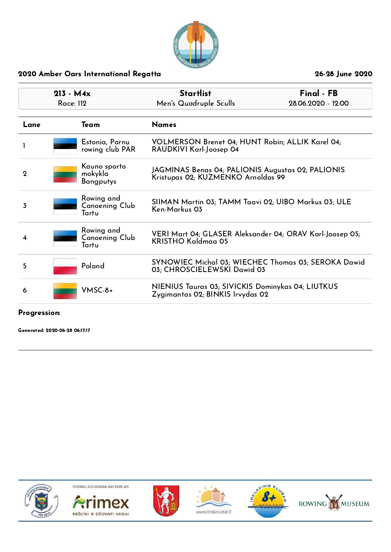

| $213 - M4x$<br>Race: 112 | <b>Startlist</b><br>Men's Quadruple Sculls                                              | Final - FB<br>28.06.2020 - 12:00                                                                                                                              |  |
|--------------------------|-----------------------------------------------------------------------------------------|---------------------------------------------------------------------------------------------------------------------------------------------------------------|--|
| Team                     | <b>Names</b>                                                                            |                                                                                                                                                               |  |
|                          | VOLMERSON Brenet 04; HUNT Robin; ALLIK Karel 04;<br>RAUDKIVI Karl-Joosep 04             |                                                                                                                                                               |  |
|                          | JAGMINAS Benas 04; PALIONIS Augustas 02; PALIONIS<br>Kristupas 02; KUZMENKO Arnoldas 99 |                                                                                                                                                               |  |
| Tartu                    | SIIMAN Martin 03; TAMM Taavi 02; UIBO Markus 03; ULE<br>Ken-Markus 03                   |                                                                                                                                                               |  |
| Tartu                    | <b>KRISTHO Kaldmaa 05</b>                                                               | VERI Mart 04; GLASER Aleksander 04; ORAV Karl-Joosep 05;                                                                                                      |  |
| Poland                   | 03; CHROSCIELEWSKI Dawid 03                                                             | SYNOWIEC Michal 03; WIECHEC Thomas 03; SEROKA Dawid                                                                                                           |  |
|                          |                                                                                         | NIENIUS Tauras 03; SIVICKIS Dominykas 04; LIUTKUS<br>Zygimantas 02; BINKIS Irvydas 02                                                                         |  |
|                          |                                                                                         | Estonia, Parnu<br>rowing club PAR<br>Kauno sporto<br>mokykla<br><b>Bangputys</b><br>Rowing and<br>Canoening Club<br>Rowing and<br>Canoening Club<br>$VMSC-8+$ |  |

Progression:

Generated: 2020-06-28 06:17:17











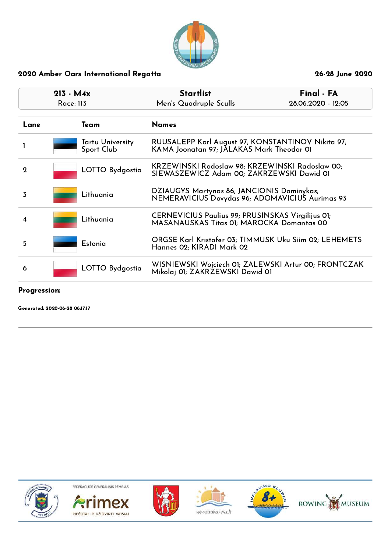

|              | $213 - M4x$<br>Race: 113 |                                | Final - FA<br><b>Startlist</b><br>Men's Quadruple Sculls<br>28.06.2020 - 12:05                 |  |
|--------------|--------------------------|--------------------------------|------------------------------------------------------------------------------------------------|--|
| Lane         |                          | Team                           | <b>Names</b>                                                                                   |  |
|              |                          | Tartu University<br>Sport Club | RUUSALEPP Karl August 97; KONSTANTINOV Nikita 97;<br>KAMA Joonatan 97; JALAKAS Mark Theodor 01 |  |
| $\mathbf{Q}$ |                          | LOTTO Bydgostia                | KRZEWINSKI Radoslaw 98; KRZEWINSKI Radoslaw 00;<br>SIEWASZEWICZ Adam 00; ZAKRZEWSKI Dawid 01   |  |
| 3            |                          | Lithuania                      | DZIAUGYS Martynas 86; JANCIONIS Dominykas;<br>NEMERAVICIUS Dovydas 96; ADOMAVICIUS Aurimas 93  |  |
| 4            |                          | Lithuania                      | CERNEVICIUS Paulius 99; PRUSINSKAS Virgilijus 01;<br>MASANAUSKAS Titas 01; MAROCKA Domantas 00 |  |
| 5            |                          | Estonia                        | ORGSE Karl Kristofer 03; TIMMUSK Uku Siim 02; LEHEMETS<br>Hannes 02; KIRADI Mark 02            |  |
| 6            |                          | LOTTO Bydgostia                | WISNIEWSKI Wojciech OI; ZALEWSKI Artur 00; FRONTCZAK<br>Mikolaj 01; ZAKRZEWSKI Dawid 01        |  |

## Progression:

Generated: 2020-06-28 06:17:17